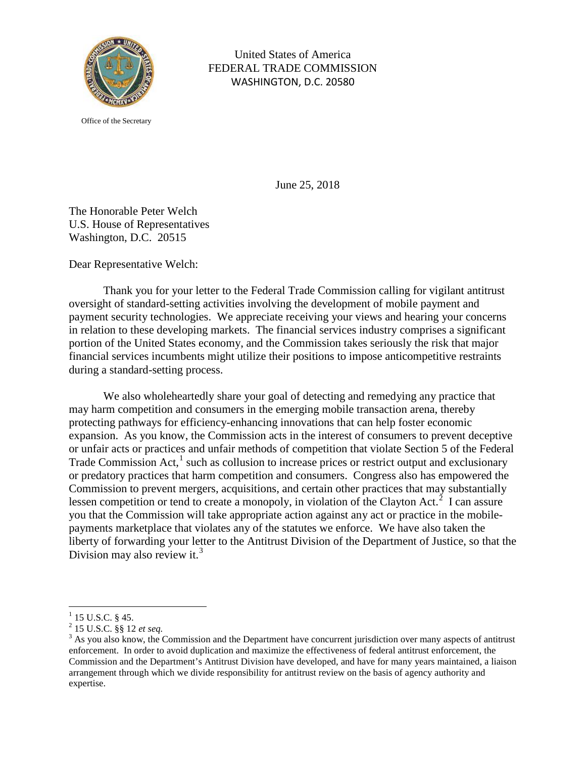

United States of America FEDERAL TRADE COMMISSION WASHINGTON, D.C. 20580

Office of the Secretary

June 25, 2018

The Honorable Peter Welch U.S. House of Representatives Washington, D.C. 20515

Dear Representative Welch:

Thank you for your letter to the Federal Trade Commission calling for vigilant antitrust oversight of standard-setting activities involving the development of mobile payment and payment security technologies. We appreciate receiving your views and hearing your concerns in relation to these developing markets. The financial services industry comprises a significant portion of the United States economy, and the Commission takes seriously the risk that major financial services incumbents might utilize their positions to impose anticompetitive restraints during a standard-setting process.

We also wholeheartedly share your goal of detecting and remedying any practice that may harm competition and consumers in the emerging mobile transaction arena, thereby protecting pathways for efficiency-enhancing innovations that can help foster economic expansion. As you know, the Commission acts in the interest of consumers to prevent deceptive or unfair acts or practices and unfair methods of competition that violate Section 5 of the Federal Trade Commission Act, $<sup>1</sup>$  $<sup>1</sup>$  $<sup>1</sup>$  such as collusion to increase prices or restrict output and exclusionary</sup> or predatory practices that harm competition and consumers. Congress also has empowered the Commission to prevent mergers, acquisitions, and certain other practices that may substantially lessen competition or tend to create a monopoly, in violation of the Clayton Act.<sup>[2](#page-0-1)</sup> I can assure you that the Commission will take appropriate action against any act or practice in the mobilepayments marketplace that violates any of the statutes we enforce. We have also taken the liberty of forwarding your letter to the Antitrust Division of the Department of Justice, so that the Division may also review it.<sup>[3](#page-0-2)</sup>

<span id="page-0-2"></span>

<span id="page-0-1"></span><span id="page-0-0"></span><sup>&</sup>lt;sup>1</sup> 15 U.S.C. § 45.<br><sup>2</sup> 15 U.S.C. §§ 12 *et seq.*<br><sup>3</sup> As you also know, the Commission and the Department have concurrent jurisdiction over many aspects of antitrust enforcement. In order to avoid duplication and maximize the effectiveness of federal antitrust enforcement, the Commission and the Department's Antitrust Division have developed, and have for many years maintained, a liaison arrangement through which we divide responsibility for antitrust review on the basis of agency authority and expertise.